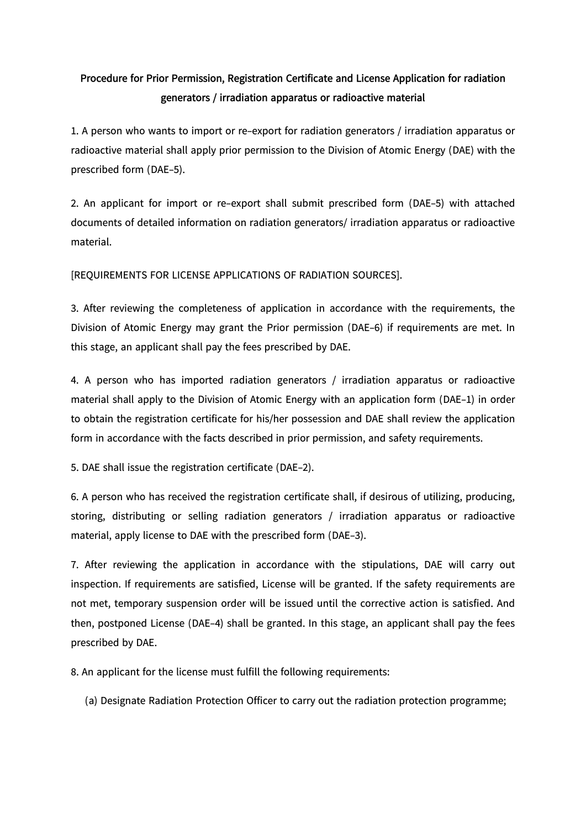## **Procedure for Prior Permission, Registration Certificate and License Application for radiation generators / irradiation apparatus or radioactive material**

1. A person who wants to import or re-export for radiation generators / irradiation apparatus or radioactive material shall apply prior permission to the Division of Atomic Energy (DAE) with the prescribed form (DAE-5).

2. An applicant for import or re-export shall submit prescribed form (DAE-5) with attached documents of detailed information on radiation generators/ irradiation apparatus or radioactive material.

[REQUIREMENTS FOR LICENSE APPLICATIONS OF RADIATION SOURCES].

3. After reviewing the completeness of application in accordance with the requirements, the Division of Atomic Energy may grant the Prior permission (DAE-6) if requirements are met. In this stage, an applicant shall pay the fees prescribed by DAE.

4. A person who has imported radiation generators / irradiation apparatus or radioactive material shall apply to the Division of Atomic Energy with an application form (DAE-1) in order to obtain the registration certificate for his/her possession and DAE shall review the application form in accordance with the facts described in prior permission, and safety requirements.

5. DAE shall issue the registration certificate (DAE-2).

6. A person who has received the registration certificate shall, if desirous of utilizing, producing, storing, distributing or selling radiation generators / irradiation apparatus or radioactive material, apply license to DAE with the prescribed form (DAE-3).

7. After reviewing the application in accordance with the stipulations, DAE will carry out inspection. If requirements are satisfied, License will be granted. If the safety requirements are not met, temporary suspension order will be issued until the corrective action is satisfied. And then, postponed License (DAE-4) shall be granted. In this stage, an applicant shall pay the fees prescribed by DAE.

8. An applicant for the license must fulfill the following requirements:

(a) Designate Radiation Protection Officer to carry out the radiation protection programme;